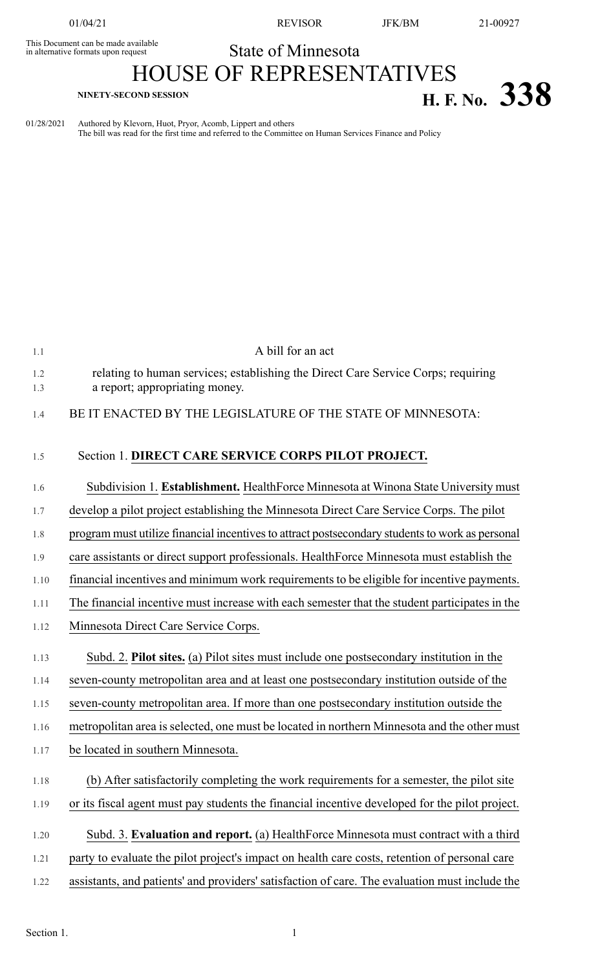This Document can be made available<br>in alternative formats upon request

01/04/21 REVISOR JFK/BM 21-00927

## State of Minnesota

## HOUSE OF REPRESENTATIVES **H. F. No.**  $338$

01/28/2021 Authored by Klevorn, Huot, Pryor, Acomb, Lippert and others The bill was read for the first time and referred to the Committee on Human Services Finance and Policy

| 1.1        | A bill for an act                                                                                                   |
|------------|---------------------------------------------------------------------------------------------------------------------|
| 1.2<br>1.3 | relating to human services; establishing the Direct Care Service Corps; requiring<br>a report; appropriating money. |
| 1.4        | BE IT ENACTED BY THE LEGISLATURE OF THE STATE OF MINNESOTA:                                                         |
| 1.5        | Section 1. DIRECT CARE SERVICE CORPS PILOT PROJECT.                                                                 |
| 1.6        | Subdivision 1. Establishment. HealthForce Minnesota at Winona State University must                                 |
| 1.7        | develop a pilot project establishing the Minnesota Direct Care Service Corps. The pilot                             |
| 1.8        | program must utilize financial incentives to attract postsecondary students to work as personal                     |
| 1.9        | care assistants or direct support professionals. HealthForce Minnesota must establish the                           |
| 1.10       | financial incentives and minimum work requirements to be eligible for incentive payments.                           |
| 1.11       | The financial incentive must increase with each semester that the student participates in the                       |
| 1.12       | Minnesota Direct Care Service Corps.                                                                                |
| 1.13       | Subd. 2. Pilot sites. (a) Pilot sites must include one postsecondary institution in the                             |
| 1.14       | seven-county metropolitan area and at least one postsecondary institution outside of the                            |
| 1.15       | seven-county metropolitan area. If more than one postsecondary institution outside the                              |
| 1.16       | metropolitan area is selected, one must be located in northern Minnesota and the other must                         |
| 1.17       |                                                                                                                     |
|            | be located in southern Minnesota.                                                                                   |
| 1.18       | (b) After satisfactorily completing the work requirements for a semester, the pilot site                            |
| 1.19       | or its fiscal agent must pay students the financial incentive developed for the pilot project.                      |
| 1.20       | Subd. 3. Evaluation and report. (a) HealthForce Minnesota must contract with a third                                |
| 1.21       | party to evaluate the pilot project's impact on health care costs, retention of personal care                       |